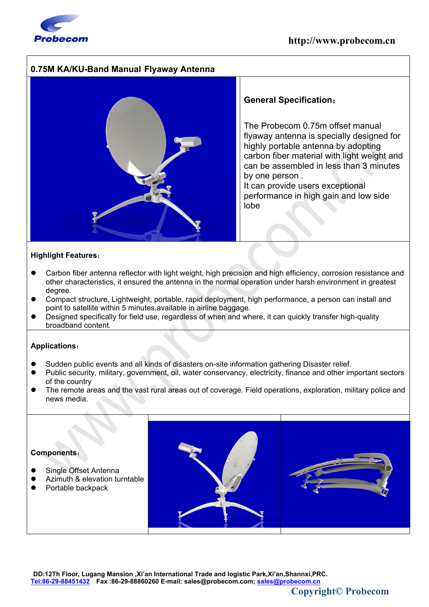

## **0.75M KA/KU-Band Manual Flyaway Antenna**



### **General Specification:**

The Probecom 0.75m offset manual flyaway antenna is specially designed for highly portable antenna by adopting carbon fiber material with light weight and can be assembled in less than 3 minutes by one person .

It can provide users exceptional performance in high gain and low side lobe

#### **Highlight Features**:

- Carbon fiber antenna reflector with light weight, high precision and high efficiency, corrosion resistance and other characteristics, it ensured the antenna in the normal operation under harsh environment in greatest degree.
- Compact structure, Lightweight, portable, rapid deployment, high performance, a person can install and point to satellite within 5 minutes,available in airline baggage.
- Designed specifically for field use, regardless of when and where, it can quickly transfer high-quality broadband content.

#### **Applications**:

- Sudden public events and all kinds of disasters on-site information gathering Disaster relief.
- Public security, military, government, oil, water conservancy, electricity, finance and other important sectors of the country
- The remote areas and the vast rural areas out of coverage. Field operations, exploration, military police and news media.

#### **Components**:

- Single Offset Antenna
- Azimuth & elevation turntable
- Portable backpack